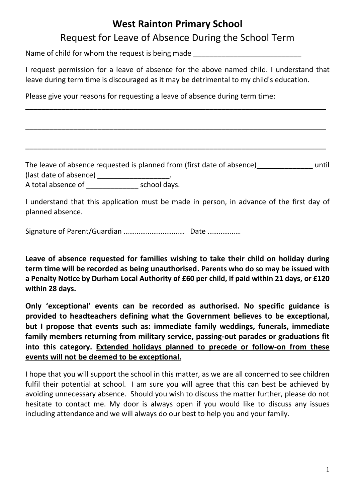## **West Rainton Primary School**

## Request for Leave of Absence During the School Term

Name of child for whom the request is being made

I request permission for a leave of absence for the above named child. I understand that leave during term time is discouraged as it may be detrimental to my child's education.

\_\_\_\_\_\_\_\_\_\_\_\_\_\_\_\_\_\_\_\_\_\_\_\_\_\_\_\_\_\_\_\_\_\_\_\_\_\_\_\_\_\_\_\_\_\_\_\_\_\_\_\_\_\_\_\_\_\_\_\_\_\_\_\_\_\_\_\_\_\_\_\_\_\_\_

\_\_\_\_\_\_\_\_\_\_\_\_\_\_\_\_\_\_\_\_\_\_\_\_\_\_\_\_\_\_\_\_\_\_\_\_\_\_\_\_\_\_\_\_\_\_\_\_\_\_\_\_\_\_\_\_\_\_\_\_\_\_\_\_\_\_\_\_\_\_\_\_\_\_\_

\_\_\_\_\_\_\_\_\_\_\_\_\_\_\_\_\_\_\_\_\_\_\_\_\_\_\_\_\_\_\_\_\_\_\_\_\_\_\_\_\_\_\_\_\_\_\_\_\_\_\_\_\_\_\_\_\_\_\_\_\_\_\_\_\_\_\_\_\_\_\_\_\_\_\_

Please give your reasons for requesting a leave of absence during term time:

The leave of absence requested is planned from (first date of absence) until (last date of absence) \_\_\_\_\_\_\_\_\_\_\_\_\_\_\_\_\_\_\_\_\_\_.

A total absence of \_\_\_\_\_\_\_\_\_\_\_\_\_\_\_\_\_\_ school days.

I understand that this application must be made in person, in advance of the first day of planned absence.

Signature of Parent/Guardian …………………………… Date ………………

**Leave of absence requested for families wishing to take their child on holiday during term time will be recorded as being unauthorised. Parents who do so may be issued with a Penalty Notice by Durham Local Authority of £60 per child, if paid within 21 days, or £120 within 28 days.**

**Only 'exceptional' events can be recorded as authorised. No specific guidance is provided to headteachers defining what the Government believes to be exceptional, but I propose that events such as: immediate family weddings, funerals, immediate family members returning from military service, passing-out parades or graduations fit into this category. Extended holidays planned to precede or follow-on from these events will not be deemed to be exceptional.**

I hope that you will support the school in this matter, as we are all concerned to see children fulfil their potential at school. I am sure you will agree that this can best be achieved by avoiding unnecessary absence. Should you wish to discuss the matter further, please do not hesitate to contact me. My door is always open if you would like to discuss any issues including attendance and we will always do our best to help you and your family.